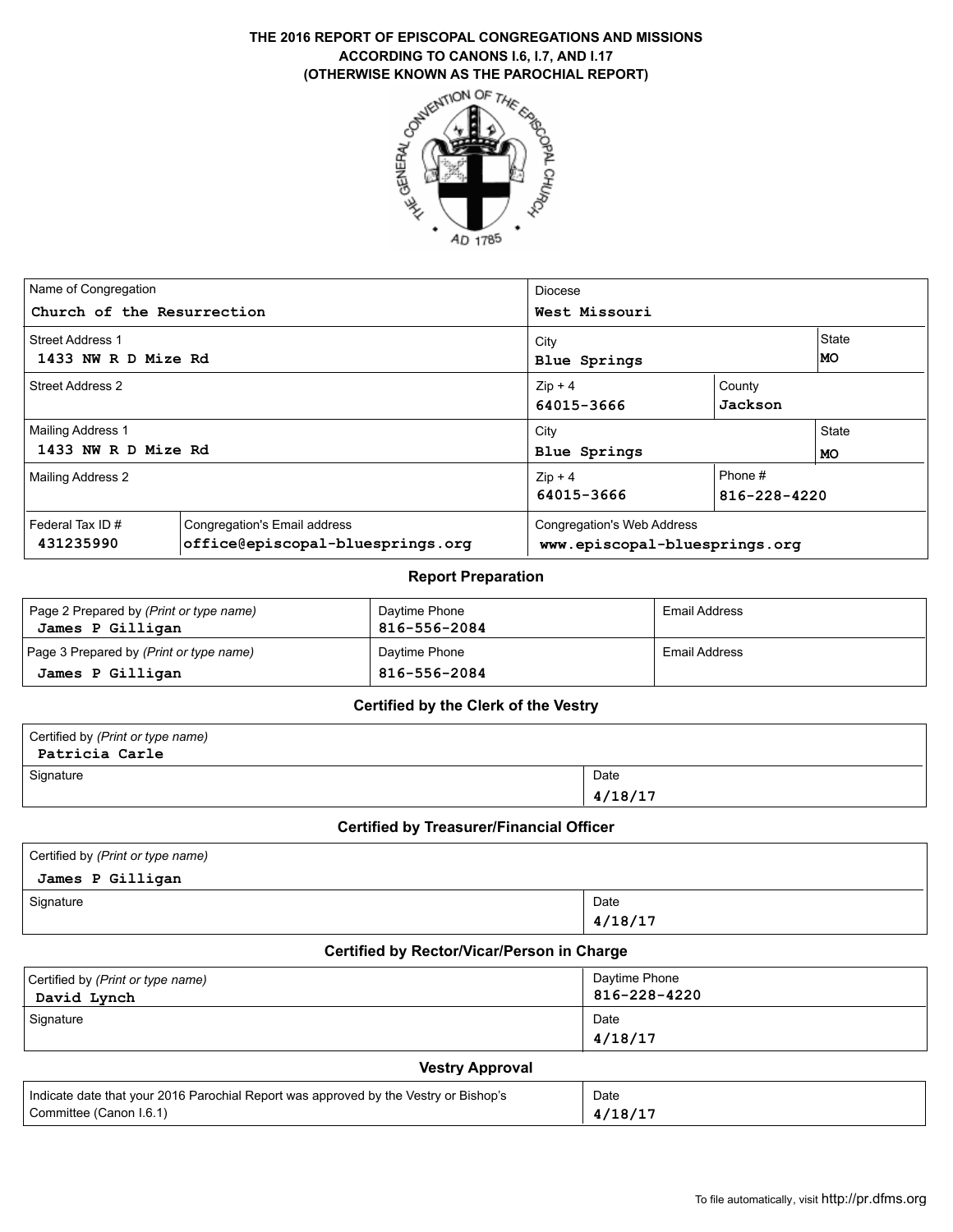# **ACCORDING TO CANONS I.6, I.7, AND I.17 (OTHERWISE KNOWN AS THE PAROCHIAL REPORT)**



| Name of Congregation<br>Church of the Resurrection |                                                                  | Diocese<br>West Missouri                                    |                         |             |  |
|----------------------------------------------------|------------------------------------------------------------------|-------------------------------------------------------------|-------------------------|-------------|--|
| <b>Street Address 1</b><br>1433 NW R D Mize Rd     |                                                                  | City<br><b>Blue Springs</b>                                 |                         | State<br>MO |  |
| Street Address 2                                   |                                                                  | $Zip + 4$<br>64015-3666                                     | County<br>Jackson       |             |  |
| <b>Mailing Address 1</b>                           |                                                                  | City                                                        | State                   |             |  |
| 1433 NW R D Mize Rd                                |                                                                  | <b>Blue Springs</b>                                         |                         | <b>MO</b>   |  |
| <b>Mailing Address 2</b>                           |                                                                  | $Zip + 4$<br>64015-3666                                     | Phone #<br>816-228-4220 |             |  |
| Federal Tax ID#<br>431235990                       | Congregation's Email address<br>office@episcopal-bluesprings.org | Congregation's Web Address<br>www.episcopal-bluesprings.org |                         |             |  |

#### **Report Preparation**

| Page 2 Prepared by (Print or type name)<br>James P Gilligan | Daytime Phone<br>816-556-2084 | Email Address |
|-------------------------------------------------------------|-------------------------------|---------------|
| Page 3 Prepared by (Print or type name)                     | Daytime Phone                 | Email Address |
| James P Gilligan                                            | 816-556-2084                  |               |

#### **Certified by the Clerk of the Vestry**

| Certified by (Print or type name)<br>Patricia Carle |         |
|-----------------------------------------------------|---------|
| Signature                                           | Date    |
|                                                     | 4/18/17 |

#### **Certified by Treasurer/Financial Officer**

| Certified by (Print or type name) |         |  |  |  |  |
|-----------------------------------|---------|--|--|--|--|
| James P Gilligan                  |         |  |  |  |  |
| Signature                         | Date    |  |  |  |  |
|                                   | 4/18/17 |  |  |  |  |

### **Certified by Rector/Vicar/Person in Charge**

| Certified by (Print or type name)<br>David Lynch | Daytime Phone<br>816-228-4220 |
|--------------------------------------------------|-------------------------------|
| Signature                                        | Date<br>4/18/17               |
|                                                  |                               |

#### **Vestry Approval**

| Indicate date that your 2016 Parochial Report was approved by the Vestry or Bishop's | Date    |
|--------------------------------------------------------------------------------------|---------|
| Committee (Canon I.6.1)                                                              | 4/18/17 |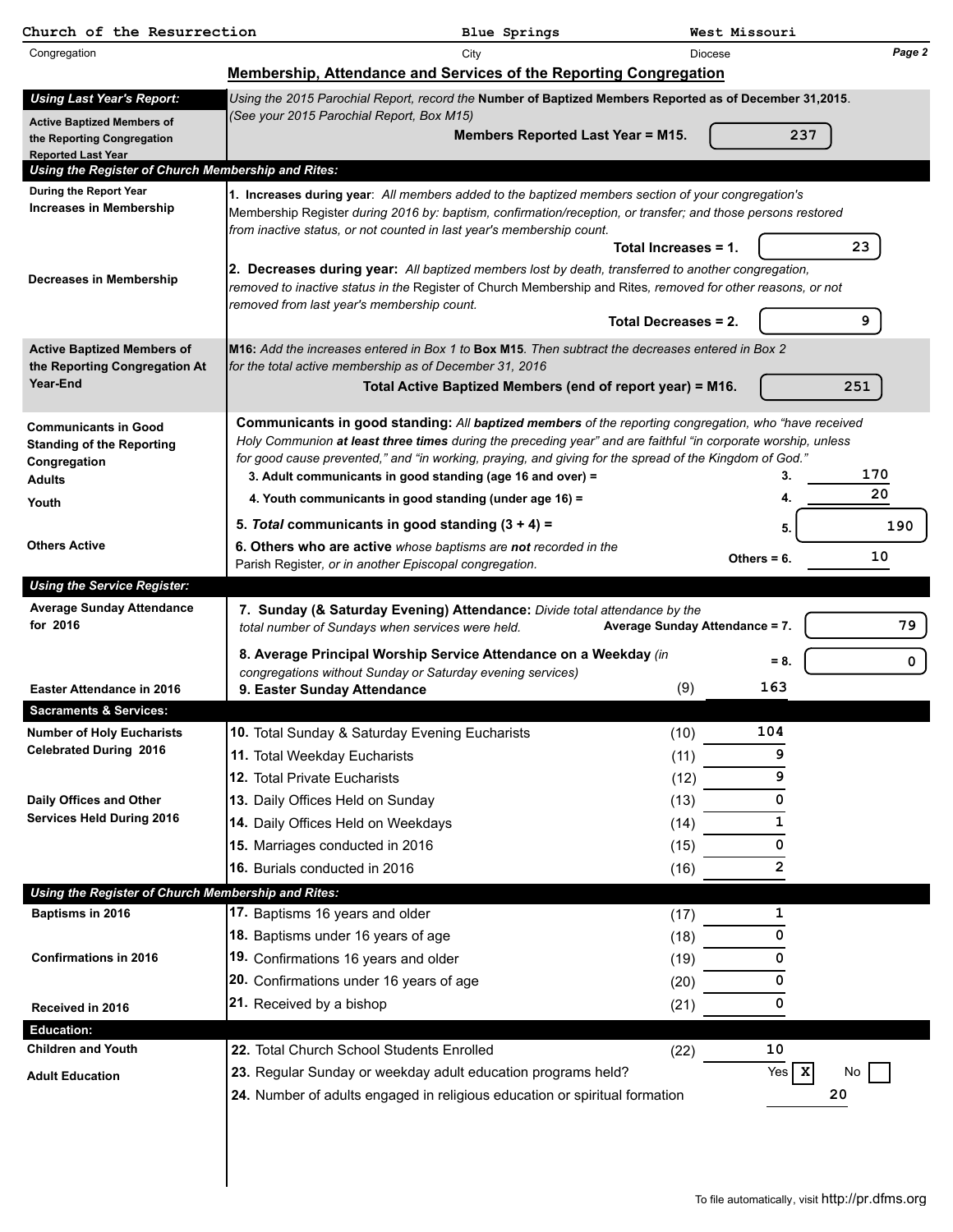| Church of the Resurrection                                                      |                                                                                                                                                                                                                    | Blue Springs                                              |                                | West Missouri    |             |
|---------------------------------------------------------------------------------|--------------------------------------------------------------------------------------------------------------------------------------------------------------------------------------------------------------------|-----------------------------------------------------------|--------------------------------|------------------|-------------|
| Congregation                                                                    |                                                                                                                                                                                                                    | City                                                      | <b>Diocese</b>                 |                  | Page 2      |
|                                                                                 | Membership, Attendance and Services of the Reporting Congregation                                                                                                                                                  |                                                           |                                |                  |             |
| <b>Using Last Year's Report:</b>                                                | Using the 2015 Parochial Report, record the Number of Baptized Members Reported as of December 31,2015.                                                                                                            |                                                           |                                |                  |             |
| <b>Active Baptized Members of</b>                                               | (See your 2015 Parochial Report, Box M15)                                                                                                                                                                          |                                                           |                                |                  |             |
| the Reporting Congregation                                                      |                                                                                                                                                                                                                    | Members Reported Last Year = M15.                         |                                |                  | 237         |
| <b>Reported Last Year</b><br>Using the Register of Church Membership and Rites: |                                                                                                                                                                                                                    |                                                           |                                |                  |             |
| <b>During the Report Year</b>                                                   | 1. Increases during year: All members added to the baptized members section of your congregation's                                                                                                                 |                                                           |                                |                  |             |
| <b>Increases in Membership</b>                                                  | Membership Register during 2016 by: baptism, confirmation/reception, or transfer; and those persons restored                                                                                                       |                                                           |                                |                  |             |
|                                                                                 | from inactive status, or not counted in last year's membership count.                                                                                                                                              |                                                           |                                |                  | 23          |
|                                                                                 |                                                                                                                                                                                                                    |                                                           | Total Increases = 1.           |                  |             |
| Decreases in Membership                                                         | 2. Decreases during year: All baptized members lost by death, transferred to another congregation,<br>removed to inactive status in the Register of Church Membership and Rites, removed for other reasons, or not |                                                           |                                |                  |             |
|                                                                                 | removed from last year's membership count.                                                                                                                                                                         |                                                           |                                |                  |             |
|                                                                                 |                                                                                                                                                                                                                    |                                                           | Total Decreases = 2.           |                  | 9           |
| <b>Active Baptized Members of</b>                                               | $\textsf{IM16:}$ Add the increases entered in Box 1 to <code>Box M15</code> . Then subtract the decreases entered in Box 2                                                                                         |                                                           |                                |                  |             |
| the Reporting Congregation At<br>Year-End                                       | for the total active membership as of December 31, 2016                                                                                                                                                            |                                                           |                                |                  |             |
|                                                                                 |                                                                                                                                                                                                                    | Total Active Baptized Members (end of report year) = M16. |                                |                  | 251         |
| <b>Communicants in Good</b>                                                     | Communicants in good standing: All baptized members of the reporting congregation, who "have received                                                                                                              |                                                           |                                |                  |             |
| <b>Standing of the Reporting</b>                                                | Holy Communion at least three times during the preceding year" and are faithful "in corporate worship, unless                                                                                                      |                                                           |                                |                  |             |
| Congregation                                                                    | for good cause prevented," and "in working, praying, and giving for the spread of the Kingdom of God."                                                                                                             |                                                           |                                |                  | 170         |
| <b>Adults</b>                                                                   | 3. Adult communicants in good standing (age 16 and over) =<br>4. Youth communicants in good standing (under age 16) =                                                                                              |                                                           |                                |                  | 20          |
| Youth                                                                           |                                                                                                                                                                                                                    |                                                           |                                |                  |             |
| <b>Others Active</b>                                                            | 5. Total communicants in good standing $(3 + 4) =$<br>6. Others who are active whose baptisms are not recorded in the                                                                                              |                                                           |                                | 5                | 190         |
|                                                                                 | Parish Register, or in another Episcopal congregation.                                                                                                                                                             |                                                           |                                | Others = $6$ .   | 10          |
| <b>Using the Service Register:</b>                                              |                                                                                                                                                                                                                    |                                                           |                                |                  |             |
| <b>Average Sunday Attendance</b>                                                | 7. Sunday (& Saturday Evening) Attendance: Divide total attendance by the                                                                                                                                          |                                                           |                                |                  |             |
| for 2016                                                                        | total number of Sundays when services were held.                                                                                                                                                                   |                                                           | Average Sunday Attendance = 7. |                  | 79          |
|                                                                                 | 8. Average Principal Worship Service Attendance on a Weekday (in                                                                                                                                                   |                                                           |                                | $= 8.$           | $\mathbf 0$ |
| <b>Easter Attendance in 2016</b>                                                | congregations without Sunday or Saturday evening services)                                                                                                                                                         |                                                           | (9)                            | 163              |             |
| <b>Sacraments &amp; Services:</b>                                               | 9. Easter Sunday Attendance                                                                                                                                                                                        |                                                           |                                |                  |             |
| <b>Number of Holy Eucharists</b>                                                | 10. Total Sunday & Saturday Evening Eucharists                                                                                                                                                                     |                                                           | (10)                           | 104              |             |
| <b>Celebrated During 2016</b>                                                   | 11. Total Weekday Eucharists                                                                                                                                                                                       |                                                           | (11)                           | 9                |             |
|                                                                                 | 12. Total Private Eucharists                                                                                                                                                                                       |                                                           | (12)                           | 9                |             |
| Daily Offices and Other                                                         | 13. Daily Offices Held on Sunday                                                                                                                                                                                   |                                                           | (13)                           | 0                |             |
| <b>Services Held During 2016</b>                                                | 14. Daily Offices Held on Weekdays                                                                                                                                                                                 |                                                           | (14)                           | 1                |             |
|                                                                                 | 15. Marriages conducted in 2016                                                                                                                                                                                    |                                                           | (15)                           | 0                |             |
|                                                                                 | 16. Burials conducted in 2016                                                                                                                                                                                      |                                                           | (16)                           | 2                |             |
| Using the Register of Church Membership and Rites:                              |                                                                                                                                                                                                                    |                                                           |                                |                  |             |
| Baptisms in 2016                                                                | 17. Baptisms 16 years and older                                                                                                                                                                                    |                                                           | (17)                           | 1                |             |
|                                                                                 | 18. Baptisms under 16 years of age                                                                                                                                                                                 |                                                           | (18)                           | 0                |             |
| <b>Confirmations in 2016</b>                                                    | 19. Confirmations 16 years and older                                                                                                                                                                               |                                                           | (19)                           | 0                |             |
|                                                                                 | 20. Confirmations under 16 years of age                                                                                                                                                                            |                                                           | (20)                           | 0                |             |
| Received in 2016                                                                | 21. Received by a bishop                                                                                                                                                                                           |                                                           | (21)                           | 0                |             |
| <b>Education:</b>                                                               |                                                                                                                                                                                                                    |                                                           |                                |                  |             |
| <b>Children and Youth</b>                                                       | 22. Total Church School Students Enrolled                                                                                                                                                                          |                                                           | (22)                           | 10               |             |
| <b>Adult Education</b>                                                          | 23. Regular Sunday or weekday adult education programs held?                                                                                                                                                       |                                                           |                                | Yes $\mathbf{x}$ | No          |
|                                                                                 | 24. Number of adults engaged in religious education or spiritual formation                                                                                                                                         |                                                           |                                |                  | 20          |
|                                                                                 |                                                                                                                                                                                                                    |                                                           |                                |                  |             |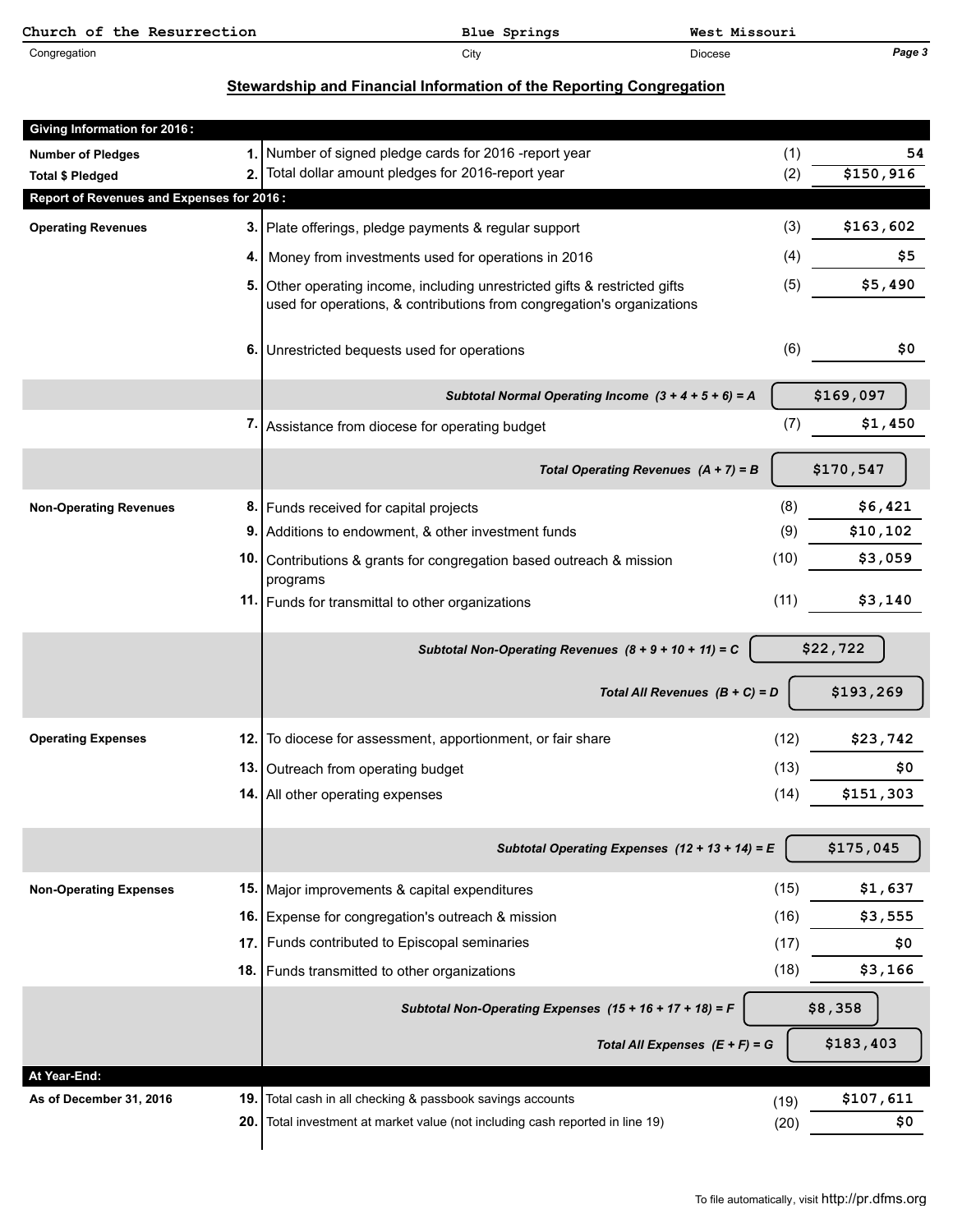| Church of the Resurrection | Blue Springs | West Missouri  |        |
|----------------------------|--------------|----------------|--------|
| Congregation               | City         | <b>Diocese</b> | Page 3 |

## **Stewardship and Financial Information of the Reporting Congregation**

| <b>Giving Information for 2016:</b>       |           |                                                                                                                                                   |              |                  |
|-------------------------------------------|-----------|---------------------------------------------------------------------------------------------------------------------------------------------------|--------------|------------------|
| <b>Number of Pledges</b>                  | 1.        | Number of signed pledge cards for 2016 -report year                                                                                               | (1)          | 54               |
| <b>Total \$ Pledged</b>                   | 2.        | Total dollar amount pledges for 2016-report year                                                                                                  | (2)          | \$150,916        |
| Report of Revenues and Expenses for 2016: |           |                                                                                                                                                   |              |                  |
| <b>Operating Revenues</b>                 | 3.        | Plate offerings, pledge payments & regular support                                                                                                | (3)          | \$163,602        |
|                                           | 4.        | Money from investments used for operations in 2016                                                                                                | (4)          | \$5              |
|                                           | 5.        | Other operating income, including unrestricted gifts & restricted gifts<br>used for operations, & contributions from congregation's organizations | (5)          | \$5,490          |
|                                           | 6.        | Unrestricted bequests used for operations                                                                                                         | (6)          | \$0              |
|                                           |           | Subtotal Normal Operating Income $(3 + 4 + 5 + 6) = A$                                                                                            |              | \$169,097        |
|                                           |           | 7. Assistance from diocese for operating budget                                                                                                   | (7)          | \$1,450          |
|                                           |           | Total Operating Revenues $(A + 7) = B$                                                                                                            |              | \$170,547        |
| <b>Non-Operating Revenues</b>             | 8.        | Funds received for capital projects                                                                                                               | (8)          | \$6,421          |
|                                           | 9         | Additions to endowment, & other investment funds                                                                                                  | (9)          | \$10,102         |
|                                           | 10.       | Contributions & grants for congregation based outreach & mission<br>programs                                                                      | (10)         | \$3,059          |
|                                           |           | 11. Funds for transmittal to other organizations                                                                                                  | (11)         | \$3,140          |
|                                           |           |                                                                                                                                                   |              |                  |
|                                           |           | Subtotal Non-Operating Revenues $(8 + 9 + 10 + 11) = C$                                                                                           |              | \$22,722         |
|                                           |           | Total All Revenues $(B + C) = D$                                                                                                                  |              | \$193,269        |
| <b>Operating Expenses</b>                 | 12.       | To diocese for assessment, apportionment, or fair share                                                                                           | (12)         | \$23,742         |
|                                           | 13.       | Outreach from operating budget                                                                                                                    | (13)         | \$0              |
|                                           | 14.       | All other operating expenses                                                                                                                      | (14)         | \$151,303        |
|                                           |           | Subtotal Operating Expenses $(12 + 13 + 14) = E$                                                                                                  |              | \$175,045        |
| <b>Non-Operating Expenses</b>             | 15.       | Major improvements & capital expenditures                                                                                                         | (15)         | \$1,637          |
|                                           | 16.       | Expense for congregation's outreach & mission                                                                                                     | (16)         | \$3,555          |
|                                           | 17.       | Funds contributed to Episcopal seminaries                                                                                                         | (17)         | \$0              |
|                                           | 18.       | Funds transmitted to other organizations                                                                                                          | (18)         | \$3,166          |
|                                           |           | Subtotal Non-Operating Expenses (15 + 16 + 17 + 18) = F                                                                                           |              | \$8,358          |
|                                           |           | Total All Expenses $(E + F) = G$                                                                                                                  |              | \$183,403        |
| At Year-End:                              |           |                                                                                                                                                   |              |                  |
| As of December 31, 2016                   | 19<br>20. | Total cash in all checking & passbook savings accounts<br>Total investment at market value (not including cash reported in line 19)               | (19)<br>(20) | \$107,611<br>\$0 |